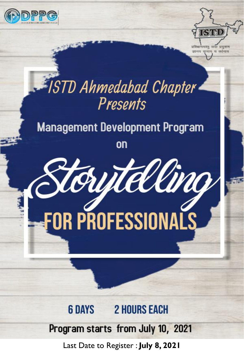



# ISTD Ahmedabad Chapter Presents

# **Management Development Program**

on



#### **2 HOURS EACH 6 DAYS**

## Program starts from July 10, 2021

Last Date to Register : **July 8, 2021**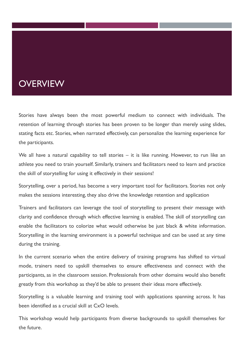#### **OVERVIEW**

Stories have always been the most powerful medium to connect with individuals. The retention of learning through stories has been proven to be longer than merely using slides, stating facts etc. Stories, when narrated effectively, can personalize the learning experience for the participants.

We all have a natural capability to tell stories – it is like running. However, to run like an athlete you need to train yourself. Similarly, trainers and facilitators need to learn and practice the skill of storytelling for using it effectively in their sessions!

Storytelling, over a period, has become a very important tool for facilitators. Stories not only makes the sessions interesting, they also drive the knowledge retention and application

Trainers and facilitators can leverage the tool of storytelling to present their message with clarity and confidence through which effective learning is enabled. The skill of storytelling can enable the facilitators to colorize what would otherwise be just black & white information. Storytelling in the learning environment is a powerful technique and can be used at any time during the training.

In the current scenario when the entire delivery of training programs has shifted to virtual mode, trainers need to upskill themselves to ensure effectiveness and connect with the participants, as in the classroom session. Professionals from other domains would also benefit greatly from this workshop as they'd be able to present their ideas more effectively.

Storytelling is a valuable learning and training tool with applications spanning across. It has been identified as a crucial skill at CxO levels.

This workshop would help participants from diverse backgrounds to upskill themselves for the future.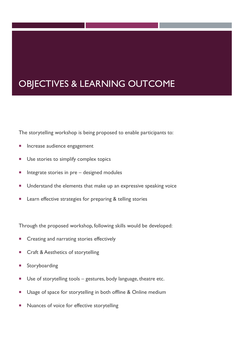### OBJECTIVES & LEARNING OUTCOME

The storytelling workshop is being proposed to enable participants to:

- **Increase audience engagement**
- **Use stories to simplify complex topics**
- $\blacksquare$  Integrate stories in pre designed modules
- **Understand the elements that make up an expressive speaking voice**
- **EXECT** Learn effective strategies for preparing & telling stories

Through the proposed workshop, following skills would be developed:

- **EXECT** Creating and narrating stories effectively
- Craft & Aesthetics of storytelling
- Storyboarding
- Use of storytelling tools gestures, body language, theatre etc.
- Usage of space for storytelling in both offline & Online medium
- **Nuances of voice for effective storytelling**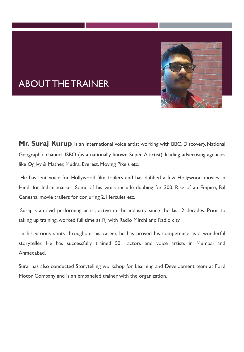

### ABOUT THE TRAINER

**Mr. Suraj Kurup** is an international voice artist working with BBC, Discovery, National Geographic channel, ISRO (as a nationally known Super A artist), leading advertising agencies like Ogilvy & Mather, Mudra, Everest, Moving Pixels etc.

He has lent voice for Hollywood film trailers and has dubbed a few Hollywood movies in Hindi for Indian market. Some of his work include dubbing for 300: Rise of an Empire, Bal Ganesha, movie trailers for conjuring 2, Hercules etc.

Suraj is an avid performing artist, active in the industry since the last 2 decades. Prior to taking up training, worked full time as RJ with Radio Mirchi and Radio city.

In his various stints throughout his career, he has proved his competence as a wonderful storyteller. He has successfully trained 50+ actors and voice artists in Mumbai and Ahmedabad.

Suraj has also conducted Storytelling workshop for Learning and Development team at Ford Motor Company and is an empaneled trainer with the organization.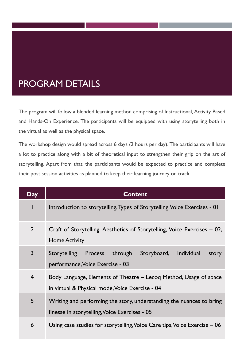### PROGRAM DETAILS

The program will follow a blended learning method comprising of Instructional, Activity Based and Hands-On Experience. The participants will be equipped with using storytelling both in the virtual as well as the physical space.

The workshop design would spread across 6 days (2 hours per day). The participants will have a lot to practice along with a bit of theoretical input to strengthen their grip on the art of storytelling. Apart from that, the participants would be expected to practice and complete their post session activities as planned to keep their learning journey on track.

| Day            | <b>Content</b>                                                                                                        |
|----------------|-----------------------------------------------------------------------------------------------------------------------|
|                | Introduction to storytelling, Types of Storytelling, Voice Exercises - 01                                             |
| $\overline{2}$ | Craft of Storytelling, Aesthetics of Storytelling, Voice Exercises – 02,<br><b>Home Activity</b>                      |
| $\overline{3}$ | Storytelling Process<br>through<br><b>Individual</b><br>Storyboard,<br>story<br>performance, Voice Exercise - 03      |
| $\overline{4}$ | Body Language, Elements of Theatre – Lecoq Method, Usage of space<br>in virtual & Physical mode, Voice Exercise - 04  |
| 5              | Writing and performing the story, understanding the nuances to bring<br>finesse in storytelling, Voice Exercises - 05 |
| 6              | Using case studies for storytelling, Voice Care tips, Voice Exercise – 06                                             |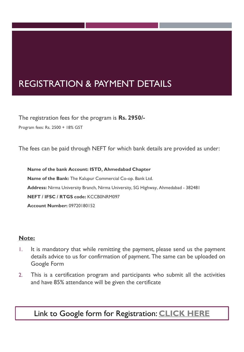### REGISTRATION & PAYMENT DETAILS

The registration fees for the program is **Rs. 2950/-** Program fees: Rs. 2500 + 18% GST

The fees can be paid through NEFT for which bank details are provided as under:

**Name of the bank Account: ISTD, Ahmedabad Chapter Name of the Bank:** The Kalupur Commercial Co-op. Bank Ltd. **Address:** Nirma University Branch, Nirma University, SG Highway, Ahmedabad - 382481 **NEFT / IFSC / RTGS code:** KCCB0NRM097 **Account Number:** 09720180152

#### **Note:**

- 1. It is mandatory that while remitting the payment, please send us the payment details advice to us for confirmation of payment. The same can be uploaded on Google Form
- 2. This is a certification program and participants who submit all the activities and have 85% attendance will be given the certificate

#### Link to Google form for Registration: **[CLICK HERE](https://forms.gle/BxKp3RD21WdMBpiD6)**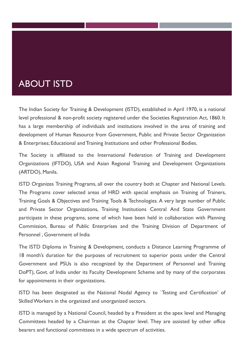#### ABOUT ISTD

The Indian Society for Training & Development (ISTD), established in April 1970, is a national level professional & non-profit society registered under the Societies Registration Act, 1860. It has a large membership of individuals and institutions involved in the area of training and development of Human Resource from Government, Public and Private Sector Organization & Enterprises; Educational and Training Institutions and other Professional Bodies.

The Society is affiliated to the International Federation of Training and Development Organizations (IFTDO), USA and Asian Regional Training and Development Organizations (ARTDO), Manila.

ISTD Organizes Training Programs, all over the country both at Chapter and National Levels. The Programs cover selected areas of HRD with special emphasis on Training of Trainers, Training Goals & Objectives and Training Tools & Technologies. A very large number of Public and Private Sector Organizations, Training Institutions Central And State Government participate in these programs, some of which have been held in collaboration with Planning Commission, Bureau of Public Enterprises and the Training Division of Department of Personnel , Government of India

The ISTD Diploma in Training & Development, conducts a Distance Learning Programme of 18 month's duration for the purposes of recruitment to superior posts under the Central Government and PSUs is also recognized by the Department of Personnel and Training DoPT), Govt. of India under its Faculty Development Scheme and by many of the corporates for appointments in their organizations.

ISTD has been designated as the National Nodal Agency to `Testing and Certification' of SkilledWorkers in the organized and unorganized sectors.

ISTD is managed by a National Council, headed by a President at the apex level and Managing Committees headed by a Chairman at the Chapter level. They are assisted by other office bearers and functional committees in a wide spectrum of activities.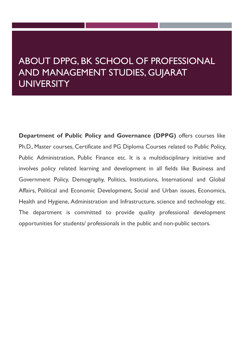#### ABOUT DPPG, BK SCHOOL OF PROFESSIONAL AND MANAGEMENT STUDIES, GUJARAT UNIVERSITY

**Department of Public Policy and Governance (DPPG)** offers courses like Ph.D., Master courses, Certificate and PG Diploma Courses related to Public Policy, Public Administration, Public Finance etc. It is a multidisciplinary initiative and involves policy related learning and development in all fields like Business and Government Policy, Demography, Politics, Institutions, International and Global Affairs, Political and Economic Development, Social and Urban issues, Economics, Health and Hygiene, Administration and Infrastructure, science and technology etc. The department is committed to provide quality professional development opportunities for students/ professionals in the public and non-public sectors.